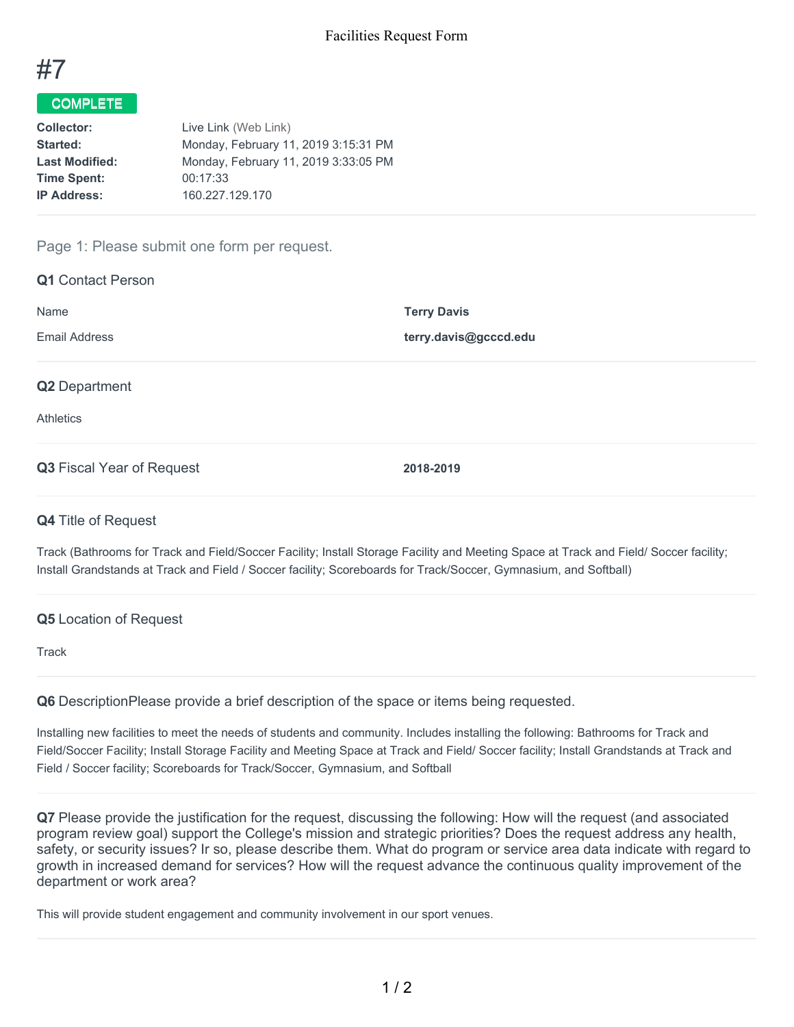

## COMPLETE

| Live Link (Web Link)                 |
|--------------------------------------|
| Monday, February 11, 2019 3:15:31 PM |
| Monday, February 11, 2019 3:33:05 PM |
| 00:17:33                             |
| 160.227.129.170                      |
|                                      |

### Page 1: Please submit one form per request.

| <b>Q1</b> Contact Person                 |                                             |
|------------------------------------------|---------------------------------------------|
| Name<br><b>Email Address</b>             | <b>Terry Davis</b><br>terry.davis@gcccd.edu |
| <b>Q2</b> Department<br><b>Athletics</b> |                                             |
| Q3 Fiscal Year of Request                | 2018-2019                                   |

### **Q4** Title of Request

Track (Bathrooms for Track and Field/Soccer Facility; Install Storage Facility and Meeting Space at Track and Field/ Soccer facility; Install Grandstands at Track and Field / Soccer facility; Scoreboards for Track/Soccer, Gymnasium, and Softball)

### **Q5** Location of Request

**Track** 

**Q6** DescriptionPlease provide a brief description of the space or items being requested.

Installing new facilities to meet the needs of students and community. Includes installing the following: Bathrooms for Track and Field/Soccer Facility; Install Storage Facility and Meeting Space at Track and Field/ Soccer facility; Install Grandstands at Track and Field / Soccer facility; Scoreboards for Track/Soccer, Gymnasium, and Softball

**Q7** Please provide the justification for the request, discussing the following: How will the request (and associated program review goal) support the College's mission and strategic priorities? Does the request address any health, safety, or security issues? Ir so, please describe them. What do program or service area data indicate with regard to growth in increased demand for services? How will the request advance the continuous quality improvement of the department or work area?

This will provide student engagement and community involvement in our sport venues.